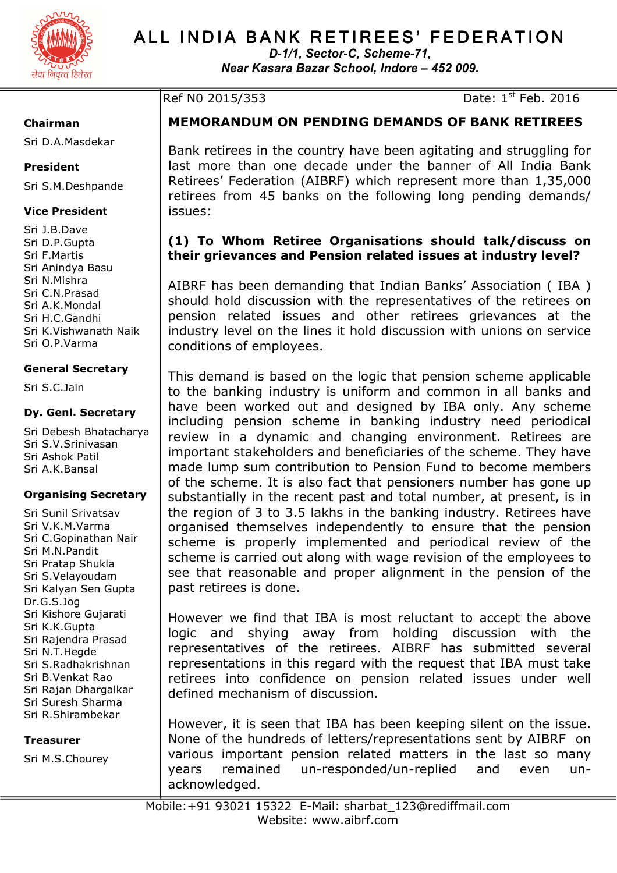

# ALL INDIA BANK RETIREES' FEDERATION

*D-1/1, Sector-C, Scheme-71, Near Kasara Bazar School, Indore – 452 009.* 

Ref N0 2015/353 Date: 1<sup>st</sup> Feb. 2016

#### **Chairman**

Sri D.A.Masdekar

#### **President**

Sri S.M.Deshpande

### **Vice President**

Sri J.B.Dave Sri D.P.Gupta Sri F.Martis Sri Anindya Basu Sri N.Mishra Sri C.N.Prasad Sri A.K.Mondal Sri H.C.Gandhi Sri K.Vishwanath Naik Sri O.P.Varma

#### **General Secretary**

Sri S.C.Jain

#### **Dy. Genl. Secretary**

Sri Debesh Bhatacharya Sri S.V.Srinivasan Sri Ashok Patil Sri A.K.Bansal

#### **Organising Secretary**

Sri Sunil Srivatsav Sri V.K.M.Varma Sri C.Gopinathan Nair Sri M.N.Pandit Sri Pratap Shukla Sri S.Velayoudam Sri Kalyan Sen Gupta Dr.G.S.Jog Sri Kishore Gujarati Sri K.K.Gupta Sri Rajendra Prasad Sri N.T.Hegde Sri S.Radhakrishnan Sri B.Venkat Rao Sri Rajan Dhargalkar Sri Suresh Sharma Sri R.Shirambekar

#### **Treasurer**

Sri M.S.Chourey

**MEMORANDUM ON PENDING DEMANDS OF BANK RETIREES** 

Bank retirees in the country have been agitating and struggling for last more than one decade under the banner of All India Bank Retirees' Federation (AIBRF) which represent more than 1,35,000 retirees from 45 banks on the following long pending demands/ issues:

# **(1) To Whom Retiree Organisations should talk/discuss on their grievances and Pension related issues at industry level?**

AIBRF has been demanding that Indian Banks' Association ( IBA ) should hold discussion with the representatives of the retirees on pension related issues and other retirees grievances at the industry level on the lines it hold discussion with unions on service conditions of employees.

This demand is based on the logic that pension scheme applicable to the banking industry is uniform and common in all banks and have been worked out and designed by IBA only. Any scheme including pension scheme in banking industry need periodical review in a dynamic and changing environment. Retirees are important stakeholders and beneficiaries of the scheme. They have made lump sum contribution to Pension Fund to become members of the scheme. It is also fact that pensioners number has gone up substantially in the recent past and total number, at present, is in the region of 3 to 3.5 lakhs in the banking industry. Retirees have organised themselves independently to ensure that the pension scheme is properly implemented and periodical review of the scheme is carried out along with wage revision of the employees to see that reasonable and proper alignment in the pension of the past retirees is done.

However we find that IBA is most reluctant to accept the above logic and shying away from holding discussion with the representatives of the retirees. AIBRF has submitted several representations in this regard with the request that IBA must take retirees into confidence on pension related issues under well defined mechanism of discussion.

However, it is seen that IBA has been keeping silent on the issue. None of the hundreds of letters/representations sent by AIBRF on various important pension related matters in the last so many years remained un-responded/un-replied and even unacknowledged.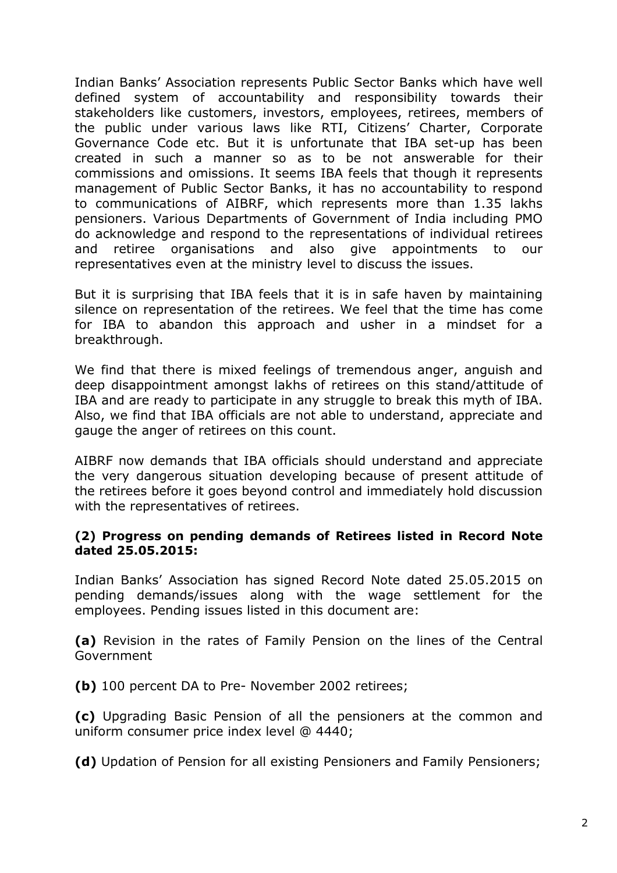Indian Banks' Association represents Public Sector Banks which have well defined system of accountability and responsibility towards their stakeholders like customers, investors, employees, retirees, members of the public under various laws like RTI, Citizens' Charter, Corporate Governance Code etc. But it is unfortunate that IBA set-up has been created in such a manner so as to be not answerable for their commissions and omissions. It seems IBA feels that though it represents management of Public Sector Banks, it has no accountability to respond to communications of AIBRF, which represents more than 1.35 lakhs pensioners. Various Departments of Government of India including PMO do acknowledge and respond to the representations of individual retirees and retiree organisations and also give appointments to our representatives even at the ministry level to discuss the issues.

But it is surprising that IBA feels that it is in safe haven by maintaining silence on representation of the retirees. We feel that the time has come for IBA to abandon this approach and usher in a mindset for a breakthrough.

We find that there is mixed feelings of tremendous anger, anguish and deep disappointment amongst lakhs of retirees on this stand/attitude of IBA and are ready to participate in any struggle to break this myth of IBA. Also, we find that IBA officials are not able to understand, appreciate and gauge the anger of retirees on this count.

AIBRF now demands that IBA officials should understand and appreciate the very dangerous situation developing because of present attitude of the retirees before it goes beyond control and immediately hold discussion with the representatives of retirees.

# **(2) Progress on pending demands of Retirees listed in Record Note dated 25.05.2015:**

Indian Banks' Association has signed Record Note dated 25.05.2015 on pending demands/issues along with the wage settlement for the employees. Pending issues listed in this document are:

**(a)** Revision in the rates of Family Pension on the lines of the Central Government

**(b)** 100 percent DA to Pre- November 2002 retirees;

**(c)** Upgrading Basic Pension of all the pensioners at the common and uniform consumer price index level @ 4440;

**(d)** Updation of Pension for all existing Pensioners and Family Pensioners;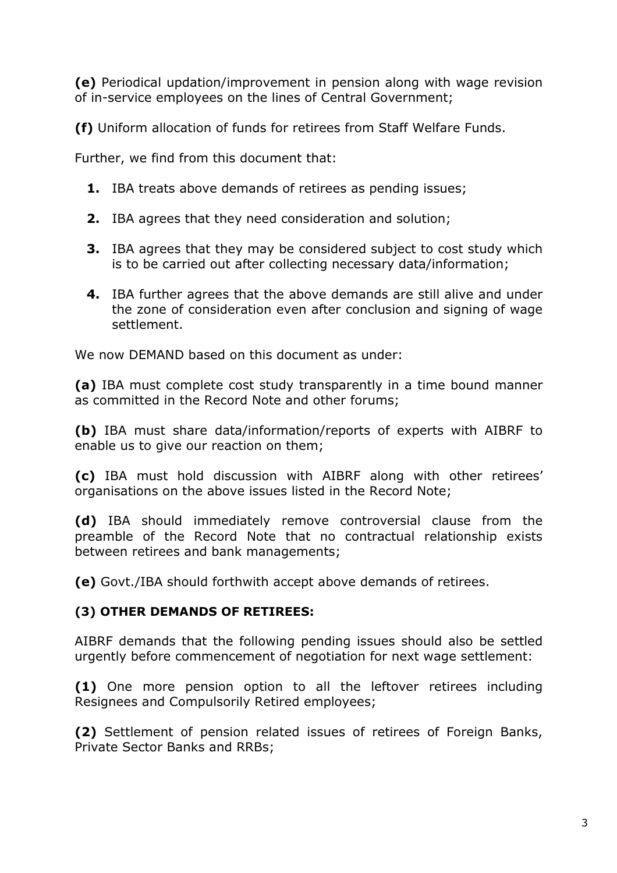**(e)** Periodical updation/improvement in pension along with wage revision of in-service employees on the lines of Central Government;

**(f)** Uniform allocation of funds for retirees from Staff Welfare Funds.

Further, we find from this document that:

- **1.** IBA treats above demands of retirees as pending issues;
- **2.** IBA agrees that they need consideration and solution;
- **3.** IBA agrees that they may be considered subject to cost study which is to be carried out after collecting necessary data/information;
- **4.** IBA further agrees that the above demands are still alive and under the zone of consideration even after conclusion and signing of wage settlement.

We now DEMAND based on this document as under:

**(a)** IBA must complete cost study transparently in a time bound manner as committed in the Record Note and other forums;

**(b)** IBA must share data/information/reports of experts with AIBRF to enable us to give our reaction on them;

**(c)** IBA must hold discussion with AIBRF along with other retirees' organisations on the above issues listed in the Record Note;

**(d)** IBA should immediately remove controversial clause from the preamble of the Record Note that no contractual relationship exists between retirees and bank managements;

**(e)** Govt./IBA should forthwith accept above demands of retirees.

# **(3) OTHER DEMANDS OF RETIREES:**

AIBRF demands that the following pending issues should also be settled urgently before commencement of negotiation for next wage settlement:

**(1)** One more pension option to all the leftover retirees including Resignees and Compulsorily Retired employees;

**(2)** Settlement of pension related issues of retirees of Foreign Banks, Private Sector Banks and RRBs;